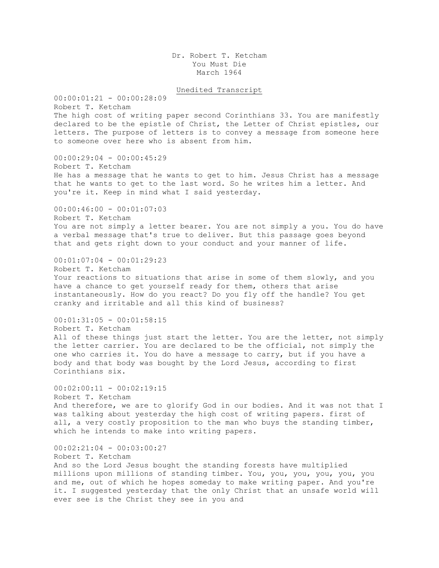Dr. Robert T. Ketcham You Must Die March 1964

Unedited Transcript

00:00:01:21 - 00:00:28:09 Robert T. Ketcham The high cost of writing paper second Corinthians 33. You are manifestly declared to be the epistle of Christ, the Letter of Christ epistles, our letters. The purpose of letters is to convey a message from someone here to someone over here who is absent from him. 00:00:29:04 - 00:00:45:29 Robert T. Ketcham He has a message that he wants to get to him. Jesus Christ has a message that he wants to get to the last word. So he writes him a letter. And you're it. Keep in mind what I said yesterday. 00:00:46:00 - 00:01:07:03 Robert T. Ketcham You are not simply a letter bearer. You are not simply a you. You do have a verbal message that's true to deliver. But this passage goes beyond that and gets right down to your conduct and your manner of life.  $00:01:07:04 - 00:01:29:23$ Robert T. Ketcham Your reactions to situations that arise in some of them slowly, and you have a chance to get yourself ready for them, others that arise instantaneously. How do you react? Do you fly off the handle? You get cranky and irritable and all this kind of business?  $00:01:31:05 - 00:01:58:15$ Robert T. Ketcham All of these things just start the letter. You are the letter, not simply the letter carrier. You are declared to be the official, not simply the one who carries it. You do have a message to carry, but if you have a body and that body was bought by the Lord Jesus, according to first Corinthians six.  $00:02:00:11 - 00:02:19:15$ Robert T. Ketcham And therefore, we are to glorify God in our bodies. And it was not that I was talking about yesterday the high cost of writing papers. first of all, a very costly proposition to the man who buys the standing timber, which he intends to make into writing papers. 00:02:21:04 - 00:03:00:27 Robert T. Ketcham

And so the Lord Jesus bought the standing forests have multiplied millions upon millions of standing timber. You, you, you, you, you, you and me, out of which he hopes someday to make writing paper. And you're it. I suggested yesterday that the only Christ that an unsafe world will ever see is the Christ they see in you and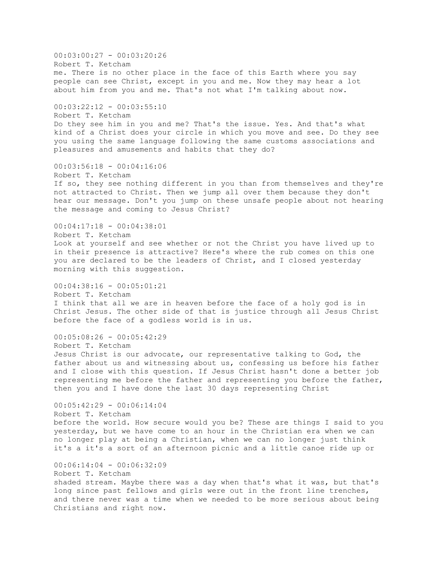00:03:00:27 - 00:03:20:26 Robert T. Ketcham me. There is no other place in the face of this Earth where you say people can see Christ, except in you and me. Now they may hear a lot about him from you and me. That's not what I'm talking about now. 00:03:22:12 - 00:03:55:10 Robert T. Ketcham Do they see him in you and me? That's the issue. Yes. And that's what kind of a Christ does your circle in which you move and see. Do they see you using the same language following the same customs associations and pleasures and amusements and habits that they do? 00:03:56:18 - 00:04:16:06 Robert T. Ketcham If so, they see nothing different in you than from themselves and they're not attracted to Christ. Then we jump all over them because they don't hear our message. Don't you jump on these unsafe people about not hearing the message and coming to Jesus Christ?  $00:04:17:18 - 00:04:38:01$ Robert T. Ketcham Look at yourself and see whether or not the Christ you have lived up to in their presence is attractive? Here's where the rub comes on this one you are declared to be the leaders of Christ, and I closed yesterday morning with this suggestion.  $00:04:38:16 - 00:05:01:21$ Robert T. Ketcham I think that all we are in heaven before the face of a holy god is in Christ Jesus. The other side of that is justice through all Jesus Christ before the face of a godless world is in us. 00:05:08:26 - 00:05:42:29 Robert T. Ketcham Jesus Christ is our advocate, our representative talking to God, the father about us and witnessing about us, confessing us before his father and I close with this question. If Jesus Christ hasn't done a better job representing me before the father and representing you before the father, then you and I have done the last 30 days representing Christ 00:05:42:29 - 00:06:14:04 Robert T. Ketcham before the world. How secure would you be? These are things I said to you yesterday, but we have come to an hour in the Christian era when we can no longer play at being a Christian, when we can no longer just think it's a it's a sort of an afternoon picnic and a little canoe ride up or 00:06:14:04 - 00:06:32:09 Robert T. Ketcham shaded stream. Maybe there was a day when that's what it was, but that's long since past fellows and girls were out in the front line trenches, and there never was a time when we needed to be more serious about being Christians and right now.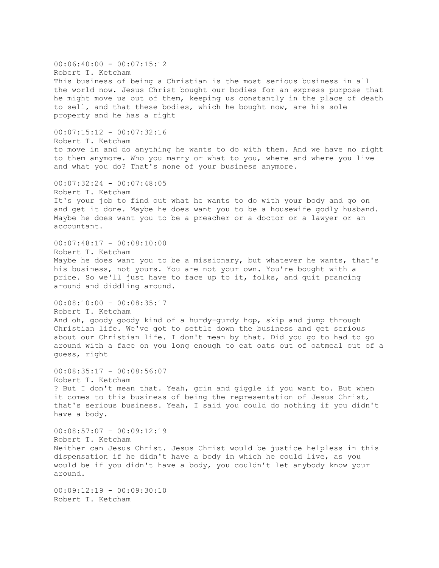$00:06:40:00 - 00:07:15:12$ Robert T. Ketcham This business of being a Christian is the most serious business in all the world now. Jesus Christ bought our bodies for an express purpose that he might move us out of them, keeping us constantly in the place of death to sell, and that these bodies, which he bought now, are his sole property and he has a right 00:07:15:12 - 00:07:32:16 Robert T. Ketcham to move in and do anything he wants to do with them. And we have no right to them anymore. Who you marry or what to you, where and where you live and what you do? That's none of your business anymore. 00:07:32:24 - 00:07:48:05 Robert T. Ketcham It's your job to find out what he wants to do with your body and go on and get it done. Maybe he does want you to be a housewife godly husband. Maybe he does want you to be a preacher or a doctor or a lawyer or an accountant. 00:07:48:17 - 00:08:10:00 Robert T. Ketcham Maybe he does want you to be a missionary, but whatever he wants, that's his business, not yours. You are not your own. You're bought with a price. So we'll just have to face up to it, folks, and quit prancing around and diddling around. 00:08:10:00 - 00:08:35:17 Robert T. Ketcham And oh, goody goody kind of a hurdy-gurdy hop, skip and jump through Christian life. We've got to settle down the business and get serious about our Christian life. I don't mean by that. Did you go to had to go around with a face on you long enough to eat oats out of oatmeal out of a guess, right 00:08:35:17 - 00:08:56:07 Robert T. Ketcham ? But I don't mean that. Yeah, grin and giggle if you want to. But when it comes to this business of being the representation of Jesus Christ, that's serious business. Yeah, I said you could do nothing if you didn't have a body.  $00:08:57:07 - 00:09:12:19$ Robert T. Ketcham Neither can Jesus Christ. Jesus Christ would be justice helpless in this dispensation if he didn't have a body in which he could live, as you would be if you didn't have a body, you couldn't let anybody know your around. 00:09:12:19 - 00:09:30:10 Robert T. Ketcham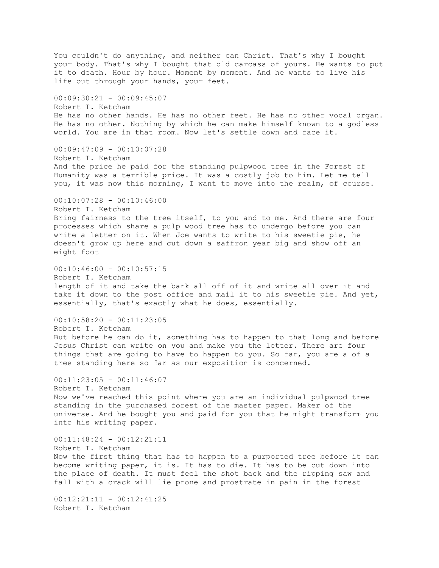You couldn't do anything, and neither can Christ. That's why I bought your body. That's why I bought that old carcass of yours. He wants to put it to death. Hour by hour. Moment by moment. And he wants to live his life out through your hands, your feet. 00:09:30:21 - 00:09:45:07 Robert T. Ketcham He has no other hands. He has no other feet. He has no other vocal organ. He has no other. Nothing by which he can make himself known to a godless world. You are in that room. Now let's settle down and face it.  $00:09:47:09 - 00:10:07:28$ Robert T. Ketcham And the price he paid for the standing pulpwood tree in the Forest of Humanity was a terrible price. It was a costly job to him. Let me tell you, it was now this morning, I want to move into the realm, of course. 00:10:07:28 - 00:10:46:00 Robert T. Ketcham Bring fairness to the tree itself, to you and to me. And there are four processes which share a pulp wood tree has to undergo before you can write a letter on it. When Joe wants to write to his sweetie pie, he doesn't grow up here and cut down a saffron year big and show off an eight foot  $00:10:46:00 - 00:10:57:15$ Robert T. Ketcham length of it and take the bark all off of it and write all over it and take it down to the post office and mail it to his sweetie pie. And yet, essentially, that's exactly what he does, essentially.  $00:10:58:20 - 00:11:23:05$ Robert T. Ketcham But before he can do it, something has to happen to that long and before Jesus Christ can write on you and make you the letter. There are four things that are going to have to happen to you. So far, you are a of a tree standing here so far as our exposition is concerned. 00:11:23:05 - 00:11:46:07 Robert T. Ketcham Now we've reached this point where you are an individual pulpwood tree standing in the purchased forest of the master paper. Maker of the universe. And he bought you and paid for you that he might transform you into his writing paper.  $00:11:48:24 - 00:12:21:11$ Robert T. Ketcham Now the first thing that has to happen to a purported tree before it can become writing paper, it is. It has to die. It has to be cut down into the place of death. It must feel the shot back and the ripping saw and fall with a crack will lie prone and prostrate in pain in the forest  $00:12:21:11 - 00:12:41:25$ Robert T. Ketcham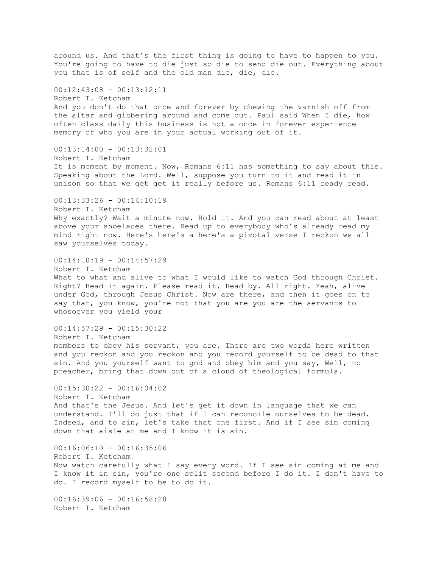around us. And that's the first thing is going to have to happen to you. You're going to have to die just so die to send die out. Everything about you that is of self and the old man die, die, die.  $00:12:43:08 - 00:13:12:11$ Robert T. Ketcham And you don't do that once and forever by chewing the varnish off from the altar and gibbering around and come out. Paul said When I die, how often class daily this business is not a once in forever experience memory of who you are in your actual working out of it. 00:13:14:00 - 00:13:32:01 Robert T. Ketcham It is moment by moment. Now, Romans 6:11 has something to say about this. Speaking about the Lord. Well, suppose you turn to it and read it in unison so that we get get it really before us. Romans 6:11 ready read. 00:13:33:26 - 00:14:10:19 Robert T. Ketcham Why exactly? Wait a minute now. Hold it. And you can read about at least above your shoelaces there. Read up to everybody who's already read my mind right now. Here's here's a here's a pivotal verse I reckon we all saw yourselves today.  $00:14:10:19 - 00:14:57:29$ Robert T. Ketcham What to what and alive to what I would like to watch God through Christ. Right? Read it again. Please read it. Read by. All right. Yeah, alive under God, through Jesus Christ. Now are there, and then it goes on to say that, you know, you're not that you are you are the servants to whosoever you yield your  $00:14:57:29 - 00:15:30:22$ Robert T. Ketcham members to obey his servant, you are. There are two words here written and you reckon and you reckon and you record yourself to be dead to that sin. And you yourself want to god and obey him and you say, Well, no preacher, bring that down out of a cloud of theological formula.  $00:15:30:22 - 00:16:04:02$ Robert T. Ketcham And that's the Jesus. And let's get it down in language that we can understand. I'll do just that if I can reconcile ourselves to be dead. Indeed, and to sin, let's take that one first. And if I see sin coming down that aisle at me and I know it is sin. 00:16:06:10 - 00:16:35:06 Robert T. Ketcham Now watch carefully what I say every word. If I see sin coming at me and I know it in sin, you're one split second before I do it. I don't have to do. I record myself to be to do it. 00:16:39:06 - 00:16:58:28 Robert T. Ketcham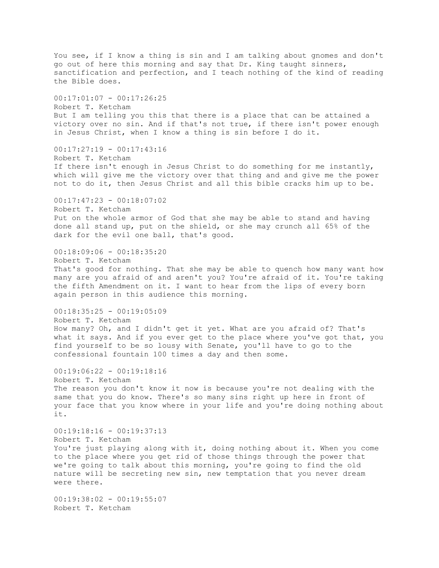You see, if I know a thing is sin and I am talking about gnomes and don't go out of here this morning and say that Dr. King taught sinners, sanctification and perfection, and I teach nothing of the kind of reading the Bible does.  $00:17:01:07 - 00:17:26:25$ Robert T. Ketcham But I am telling you this that there is a place that can be attained a victory over no sin. And if that's not true, if there isn't power enough in Jesus Christ, when I know a thing is sin before I do it.  $00:17:27:19 - 00:17:43:16$ Robert T. Ketcham If there isn't enough in Jesus Christ to do something for me instantly, which will give me the victory over that thing and and give me the power not to do it, then Jesus Christ and all this bible cracks him up to be.  $00:17:47:23 - 00:18:07:02$ Robert T. Ketcham Put on the whole armor of God that she may be able to stand and having done all stand up, put on the shield, or she may crunch all 65% of the dark for the evil one ball, that's good. 00:18:09:06 - 00:18:35:20 Robert T. Ketcham That's good for nothing. That she may be able to quench how many want how many are you afraid of and aren't you? You're afraid of it. You're taking the fifth Amendment on it. I want to hear from the lips of every born again person in this audience this morning.  $00:18:35:25 - 00:19:05:09$ Robert T. Ketcham How many? Oh, and I didn't get it yet. What are you afraid of? That's what it says. And if you ever get to the place where you've got that, you find yourself to be so lousy with Senate, you'll have to go to the confessional fountain 100 times a day and then some. 00:19:06:22 - 00:19:18:16 Robert T. Ketcham The reason you don't know it now is because you're not dealing with the same that you do know. There's so many sins right up here in front of your face that you know where in your life and you're doing nothing about it. 00:19:18:16 - 00:19:37:13 Robert T. Ketcham You're just playing along with it, doing nothing about it. When you come to the place where you get rid of those things through the power that we're going to talk about this morning, you're going to find the old nature will be secreting new sin, new temptation that you never dream were there.  $00:19:38:02 - 00:19:55:07$ Robert T. Ketcham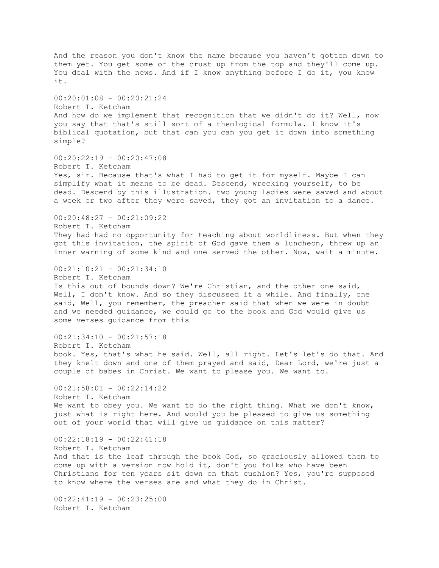And the reason you don't know the name because you haven't gotten down to them yet. You get some of the crust up from the top and they'll come up. You deal with the news. And if I know anything before I do it, you know it. 00:20:01:08 - 00:20:21:24 Robert T. Ketcham And how do we implement that recognition that we didn't do it? Well, now you say that that's still sort of a theological formula. I know it's biblical quotation, but that can you can you get it down into something simple?  $00:20:22:19 - 00:20:47:08$ Robert T. Ketcham Yes, sir. Because that's what I had to get it for myself. Maybe I can simplify what it means to be dead. Descend, wrecking yourself, to be dead. Descend by this illustration. two young ladies were saved and about a week or two after they were saved, they got an invitation to a dance. 00:20:48:27 - 00:21:09:22 Robert T. Ketcham They had had no opportunity for teaching about worldliness. But when they got this invitation, the spirit of God gave them a luncheon, threw up an inner warning of some kind and one served the other. Now, wait a minute. 00:21:10:21 - 00:21:34:10 Robert T. Ketcham Is this out of bounds down? We're Christian, and the other one said, Well, I don't know. And so they discussed it a while. And finally, one said, Well, you remember, the preacher said that when we were in doubt and we needed guidance, we could go to the book and God would give us some verses guidance from this  $00:21:34:10 - 00:21:57:18$ Robert T. Ketcham book. Yes, that's what he said. Well, all right. Let's let's do that. And they knelt down and one of them prayed and said, Dear Lord, we're just a couple of babes in Christ. We want to please you. We want to.  $00:21:58:01 - 00:22:14:22$ Robert T. Ketcham We want to obey you. We want to do the right thing. What we don't know, just what is right here. And would you be pleased to give us something out of your world that will give us guidance on this matter? 00:22:18:19 - 00:22:41:18 Robert T. Ketcham And that is the leaf through the book God, so graciously allowed them to come up with a version now hold it, don't you folks who have been Christians for ten years sit down on that cushion? Yes, you're supposed to know where the verses are and what they do in Christ.  $00:22:41:19 - 00:23:25:00$ Robert T. Ketcham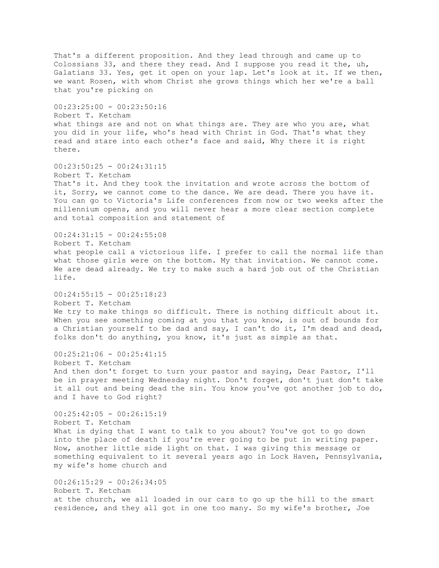That's a different proposition. And they lead through and came up to Colossians 33, and there they read. And I suppose you read it the, uh, Galatians 33. Yes, get it open on your lap. Let's look at it. If we then, we want Rosen, with whom Christ she grows things which her we're a ball that you're picking on 00:23:25:00 - 00:23:50:16 Robert T. Ketcham what things are and not on what things are. They are who you are, what you did in your life, who's head with Christ in God. That's what they read and stare into each other's face and said, Why there it is right there.  $00:23:50:25 - 00:24:31:15$ Robert T. Ketcham That's it. And they took the invitation and wrote across the bottom of it, Sorry, we cannot come to the dance. We are dead. There you have it. You can go to Victoria's Life conferences from now or two weeks after the millennium opens, and you will never hear a more clear section complete and total composition and statement of  $00:24:31:15 - 00:24:55:08$ Robert T. Ketcham what people call a victorious life. I prefer to call the normal life than what those girls were on the bottom. My that invitation. We cannot come. We are dead already. We try to make such a hard job out of the Christian life.  $00:24:55:15 - 00:25:18:23$ Robert T. Ketcham We try to make things so difficult. There is nothing difficult about it. When you see something coming at you that you know, is out of bounds for a Christian yourself to be dad and say, I can't do it, I'm dead and dead, folks don't do anything, you know, it's just as simple as that.  $00:25:21:06 - 00:25:41:15$ Robert T. Ketcham And then don't forget to turn your pastor and saying, Dear Pastor, I'll be in prayer meeting Wednesday night. Don't forget, don't just don't take it all out and being dead the sin. You know you've got another job to do, and I have to God right? 00:25:42:05 - 00:26:15:19 Robert T. Ketcham What is dying that I want to talk to you about? You've got to go down into the place of death if you're ever going to be put in writing paper. Now, another little side light on that. I was giving this message or something equivalent to it several years ago in Lock Haven, Pennsylvania, my wife's home church and 00:26:15:29 - 00:26:34:05 Robert T. Ketcham at the church, we all loaded in our cars to go up the hill to the smart residence, and they all got in one too many. So my wife's brother, Joe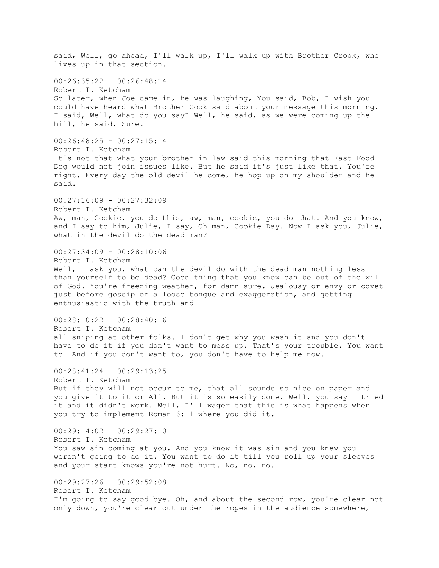said, Well, go ahead, I'll walk up, I'll walk up with Brother Crook, who lives up in that section.  $00:26:35:22 - 00:26:48:14$ Robert T. Ketcham So later, when Joe came in, he was laughing, You said, Bob, I wish you could have heard what Brother Cook said about your message this morning. I said, Well, what do you say? Well, he said, as we were coming up the hill, he said, Sure.  $00:26:48:25 - 00:27:15:14$ Robert T. Ketcham It's not that what your brother in law said this morning that Fast Food Dog would not join issues like. But he said it's just like that. You're right. Every day the old devil he come, he hop up on my shoulder and he said. 00:27:16:09 - 00:27:32:09 Robert T. Ketcham Aw, man, Cookie, you do this, aw, man, cookie, you do that. And you know, and I say to him, Julie, I say, Oh man, Cookie Day. Now I ask you, Julie, what in the devil do the dead man? 00:27:34:09 - 00:28:10:06 Robert T. Ketcham Well, I ask you, what can the devil do with the dead man nothing less than yourself to be dead? Good thing that you know can be out of the will of God. You're freezing weather, for damn sure. Jealousy or envy or covet just before gossip or a loose tongue and exaggeration, and getting enthusiastic with the truth and  $00:28:10:22 - 00:28:40:16$ Robert T. Ketcham all sniping at other folks. I don't get why you wash it and you don't have to do it if you don't want to mess up. That's your trouble. You want to. And if you don't want to, you don't have to help me now. 00:28:41:24 - 00:29:13:25 Robert T. Ketcham But if they will not occur to me, that all sounds so nice on paper and you give it to it or Ali. But it is so easily done. Well, you say I tried it and it didn't work. Well, I'll wager that this is what happens when you try to implement Roman 6:11 where you did it. 00:29:14:02 - 00:29:27:10 Robert T. Ketcham You saw sin coming at you. And you know it was sin and you knew you weren't going to do it. You want to do it till you roll up your sleeves and your start knows you're not hurt. No, no, no. 00:29:27:26 - 00:29:52:08 Robert T. Ketcham I'm going to say good bye. Oh, and about the second row, you're clear not only down, you're clear out under the ropes in the audience somewhere,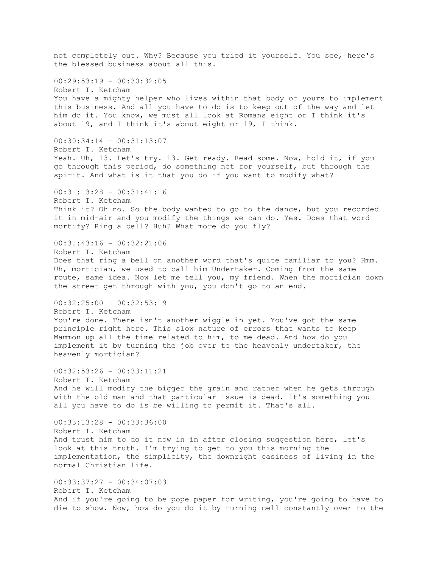not completely out. Why? Because you tried it yourself. You see, here's the blessed business about all this.  $00:29:53:19 - 00:30:32:05$ Robert T. Ketcham You have a mighty helper who lives within that body of yours to implement this business. And all you have to do is to keep out of the way and let him do it. You know, we must all look at Romans eight or I think it's about 19, and I think it's about eight or 19, I think. 00:30:34:14 - 00:31:13:07 Robert T. Ketcham Yeah. Uh, 13. Let's try. 13. Get ready. Read some. Now, hold it, if you go through this period, do something not for yourself, but through the spirit. And what is it that you do if you want to modify what? 00:31:13:28 - 00:31:41:16 Robert T. Ketcham Think it? Oh no. So the body wanted to go to the dance, but you recorded it in mid-air and you modify the things we can do. Yes. Does that word mortify? Ring a bell? Huh? What more do you fly? 00:31:43:16 - 00:32:21:06 Robert T. Ketcham Does that ring a bell on another word that's quite familiar to you? Hmm. Uh, mortician, we used to call him Undertaker. Coming from the same route, same idea. Now let me tell you, my friend. When the mortician down the street get through with you, you don't go to an end. 00:32:25:00 - 00:32:53:19 Robert T. Ketcham You're done. There isn't another wiggle in yet. You've got the same principle right here. This slow nature of errors that wants to keep Mammon up all the time related to him, to me dead. And how do you implement it by turning the job over to the heavenly undertaker, the heavenly mortician? 00:32:53:26 - 00:33:11:21 Robert T. Ketcham And he will modify the bigger the grain and rather when he gets through with the old man and that particular issue is dead. It's something you all you have to do is be willing to permit it. That's all. 00:33:13:28 - 00:33:36:00 Robert T. Ketcham And trust him to do it now in in after closing suggestion here, let's look at this truth. I'm trying to get to you this morning the implementation, the simplicity, the downright easiness of living in the normal Christian life. 00:33:37:27 - 00:34:07:03 Robert T. Ketcham And if you're going to be pope paper for writing, you're going to have to die to show. Now, how do you do it by turning cell constantly over to the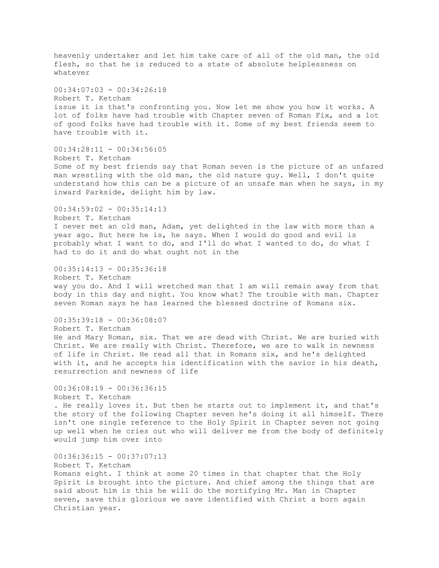heavenly undertaker and let him take care of all of the old man, the old flesh, so that he is reduced to a state of absolute helplessness on whatever  $00:34:07:03 - 00:34:26:18$ Robert T. Ketcham issue it is that's confronting you. Now let me show you how it works. A lot of folks have had trouble with Chapter seven of Roman Fix, and a lot of good folks have had trouble with it. Some of my best friends seem to have trouble with it.  $00:34:28:11 - 00:34:56:05$ Robert T. Ketcham Some of my best friends say that Roman seven is the picture of an unfazed man wrestling with the old man, the old nature guy. Well, I don't quite understand how this can be a picture of an unsafe man when he says, in my inward Parkside, delight him by law. 00:34:59:02 - 00:35:14:13 Robert T. Ketcham I never met an old man, Adam, yet delighted in the law with more than a year ago. But here he is, he says. When I would do good and evil is probably what I want to do, and I'll do what I wanted to do, do what I had to do it and do what ought not in the 00:35:14:13 - 00:35:36:18 Robert T. Ketcham way you do. And I will wretched man that I am will remain away from that body in this day and night. You know what? The trouble with man. Chapter seven Roman says he has learned the blessed doctrine of Romans six. 00:35:39:18 - 00:36:08:07 Robert T. Ketcham He and Mary Roman, six. That we are dead with Christ. We are buried with Christ. We are really with Christ. Therefore, we are to walk in newness of life in Christ. He read all that in Romans six, and he's delighted with it, and he accepts his identification with the savior in his death, resurrection and newness of life  $00:36:08:19 - 00:36:36:15$ Robert T. Ketcham . He really loves it. But then he starts out to implement it, and that's the story of the following Chapter seven he's doing it all himself. There isn't one single reference to the Holy Spirit in Chapter seven not going up well when he cries out who will deliver me from the body of definitely would jump him over into  $00:36:36:15 - 00:37:07:13$ Robert T. Ketcham Romans eight. I think at some 20 times in that chapter that the Holy Spirit is brought into the picture. And chief among the things that are said about him is this he will do the mortifying Mr. Man in Chapter seven, save this glorious we save identified with Christ a born again Christian year.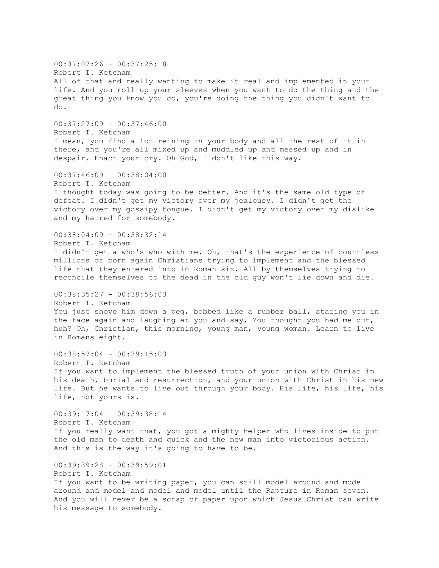00:37:07:26 - 00:37:25:18 Robert T. Ketcham All of that and really wanting to make it real and implemented in your life. And you roll up your sleeves when you want to do the thing and the great thing you know you do, you're doing the thing you didn't want to do. 00:37:27:09 - 00:37:46:00 Robert T. Ketcham I mean, you find a lot reining in your body and all the rest of it in there, and you're all mixed up and muddled up and messed up and in despair. Enact your cry. Oh God, I don't like this way. 00:37:46:09 - 00:38:04:00 Robert T. Ketcham I thought today was going to be better. And it's the same old type of defeat. I didn't get my victory over my jealousy. I didn't get the victory over my gossipy tongue. I didn't get my victory over my dislike and my hatred for somebody. 00:38:04:09 - 00:38:32:14 Robert T. Ketcham I didn't get a who's who with me. Oh, that's the experience of countless millions of born again Christians trying to implement and the blessed life that they entered into in Roman six. All by themselves trying to reconcile themselves to the dead in the old guy won't lie down and die. 00:38:35:27 - 00:38:56:03 Robert T. Ketcham You just shove him down a peg, bobbed like a rubber ball, staring you in the face again and laughing at you and say, You thought you had me out, huh? Oh, Christian, this morning, young man, young woman. Learn to live in Romans eight. 00:38:57:04 - 00:39:15:03 Robert T. Ketcham If you want to implement the blessed truth of your union with Christ in his death, burial and resurrection, and your union with Christ in his new life. But he wants to live out through your body. His life, his life, his life, not yours is. 00:39:17:04 - 00:39:38:14 Robert T. Ketcham If you really want that, you got a mighty helper who lives inside to put the old man to death and quick and the new man into victorious action. And this is the way it's going to have to be. 00:39:39:28 - 00:39:59:01 Robert T. Ketcham If you want to be writing paper, you can still model around and model around and model and model and model until the Rapture in Roman seven. And you will never be a scrap of paper upon which Jesus Christ can write his message to somebody.